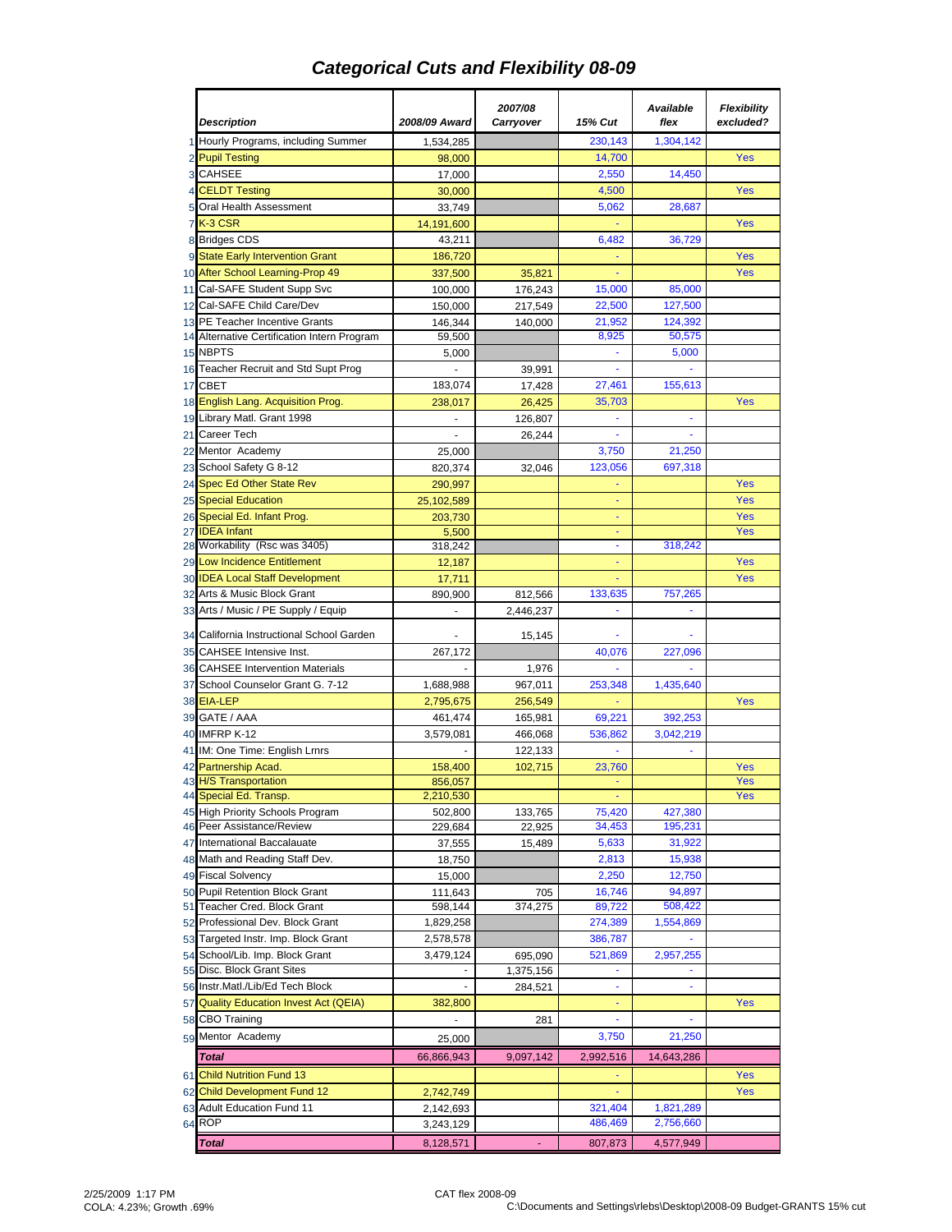## *Categorical Cuts and Flexibility 08-09*

|    |                                                               |                    | 2007/08           |                  | Available         | <b>Flexibility</b> |
|----|---------------------------------------------------------------|--------------------|-------------------|------------------|-------------------|--------------------|
|    | <b>Description</b>                                            | 2008/09 Award      | Carryover         | 15% Cut          | flex              | excluded?          |
|    | 1 Hourly Programs, including Summer                           | 1,534,285          |                   | 230,143          | 1,304,142         |                    |
|    | 2 Pupil Testing                                               | 98,000             |                   | 14,700           |                   | Yes                |
|    | 3 CAHSEE                                                      | 17,000             |                   | 2,550            | 14.450            |                    |
|    | 4 CELDT Testing                                               | 30.000             |                   | 4,500            |                   | Yes                |
|    | 5 Oral Health Assessment                                      | 33,749             |                   | 5,062            | 28,687            |                    |
|    | <b>7 K-3 CSR</b>                                              | 14,191,600         |                   |                  |                   | Yes                |
|    | 8 Bridges CDS                                                 | 43,211             |                   | 6,482            | 36,729            |                    |
|    | 9 State Early Intervention Grant                              | 186,720            |                   |                  |                   | Yes                |
|    | 10 After School Learning-Prop 49                              | 337,500            | 35,821            | ٠                |                   | Yes                |
|    | 11 Cal-SAFE Student Supp Svc                                  | 100,000            | 176,243           | 15,000           | 85,000            |                    |
|    | 12 Cal-SAFE Child Care/Dev                                    | 150,000            | 217,549           | 22,500           | 127,500           |                    |
|    | 13 PE Teacher Incentive Grants                                | 146,344            | 140,000           | 21,952<br>8,925  | 124,392<br>50,575 |                    |
|    | 14 Alternative Certification Intern Program<br>15 NBPTS       | 59,500<br>5,000    |                   |                  | 5,000             |                    |
|    | 16 Teacher Recruit and Std Supt Prog                          |                    | 39,991            |                  |                   |                    |
|    | 17 CBET                                                       | 183,074            | 17,428            | 27,461           | 155,613           |                    |
| 18 | English Lang. Acquisition Prog.                               | 238,017            | 26,425            | 35,703           |                   | Yes                |
|    | 19 Library Matl. Grant 1998                                   |                    | 126,807           |                  |                   |                    |
|    | 21 Career Tech                                                |                    | 26,244            |                  |                   |                    |
|    | 22 Mentor Academy                                             | 25,000             |                   | 3,750            | 21,250            |                    |
|    | 23 School Safety G 8-12                                       | 820,374            | 32,046            | 123,056          | 697,318           |                    |
|    | 24 Spec Ed Other State Rev                                    | 290,997            |                   | ٠                |                   | <b>Yes</b>         |
|    | 25 Special Education                                          | 25,102,589         |                   |                  |                   | Yes                |
| 26 | Special Ed. Infant Prog.                                      | 203,730            |                   | ٠                |                   | Yes                |
|    | 27 IDEA Infant                                                | 5,500              |                   | ÷                |                   | Yes                |
|    | 28 Workability (Rsc was 3405)                                 | 318,242            |                   | $\blacksquare$   | 318,242           |                    |
| 29 | <b>Low Incidence Entitlement</b>                              | 12,187             |                   | ٠                |                   | Yes                |
|    | 30 IDEA Local Staff Development                               | 17,711             |                   |                  |                   | Yes                |
|    | 32 Arts & Music Block Grant                                   | 890,900            | 812,566           | 133,635          | 757,265           |                    |
|    | 33 Arts / Music / PE Supply / Equip                           | $\sim$             | 2,446,237         | ä,               |                   |                    |
|    | 34 California Instructional School Garden                     |                    | 15,145            |                  |                   |                    |
|    | 35 CAHSEE Intensive Inst.                                     | 267,172            |                   | 40,076           | 227,096           |                    |
|    | 36 CAHSEE Intervention Materials                              |                    | 1,976             |                  |                   |                    |
|    | 37 School Counselor Grant G. 7-12                             | 1,688,988          | 967,011           | 253,348          | 1,435,640         |                    |
| 38 | <b>EIA-LEP</b>                                                | 2,795,675          | 256,549           |                  |                   | Yes                |
|    | 39 GATE / AAA                                                 | 461,474            | 165,981           | 69,221           | 392,253           |                    |
|    | 40 IMFRP K-12                                                 | 3,579,081          | 466,068           | 536,862          | 3,042,219         |                    |
|    | 41 IM: One Time: English Lrnrs                                |                    | 122,133           |                  |                   |                    |
| 42 | Partnership Acad.                                             | 158,400            | 102,715           | 23,760           |                   | Yes                |
|    | 43 H/S Transportation                                         | 856,057            |                   |                  |                   | Yes<br>Yes         |
|    | 44 Special Ed. Transp.                                        | 2,210,530          |                   | ٠                | 427,380           |                    |
|    | 45 High Priority Schools Program<br>46 Peer Assistance/Review | 502,800<br>229,684 | 133,765<br>22,925 | 75,420<br>34,453 | 195,231           |                    |
| 47 | International Baccalauate                                     | 37,555             | 15,489            | 5,633            | 31,922            |                    |
|    | 48 Math and Reading Staff Dev.                                | 18,750             |                   | 2,813            | 15,938            |                    |
|    | 49 Fiscal Solvency                                            | 15,000             |                   | 2,250            | 12,750            |                    |
|    | 50 Pupil Retention Block Grant                                | 111,643            | 705               | 16,746           | 94,897            |                    |
|    | 51 Teacher Cred. Block Grant                                  | 598,144            | 374,275           | 89,722           | 508,422           |                    |
|    | 52 Professional Dev. Block Grant                              | 1,829,258          |                   | 274,389          | 1,554,869         |                    |
|    | 53 Targeted Instr. Imp. Block Grant                           | 2,578,578          |                   | 386,787          |                   |                    |
| 54 | School/Lib. Imp. Block Grant                                  | 3,479,124          | 695,090           | 521,869          | 2,957,255         |                    |
|    | 55 Disc. Block Grant Sites                                    |                    | 1,375,156         |                  |                   |                    |
|    | 56 Instr.Matl./Lib/Ed Tech Block                              |                    | 284,521           |                  |                   |                    |
|    | 57 Quality Education Invest Act (QEIA)                        | 382,800            |                   | ÷                |                   | Yes                |
|    | 58 CBO Training                                               | $\blacksquare$     | 281               | ٠                | $\blacksquare$    |                    |
|    | 59 Mentor Academy                                             | 25,000             |                   | 3,750            | 21,250            |                    |
|    | <b>Total</b>                                                  | 66,866,943         | 9,097,142         | 2,992,516        | 14,643,286        |                    |
|    | 61 Child Nutrition Fund 13                                    |                    |                   | ٠                |                   | Yes                |
|    | 62 Child Development Fund 12                                  | 2,742,749          |                   |                  |                   | Yes                |
|    | 63 Adult Education Fund 11                                    | 2,142,693          |                   | 321,404          | 1,821,289         |                    |
|    | 64 ROP                                                        | 3,243,129          |                   | 486,469          | 2,756,660         |                    |
|    | Total                                                         | 8,128,571          |                   | 807,873          | 4,577,949         |                    |